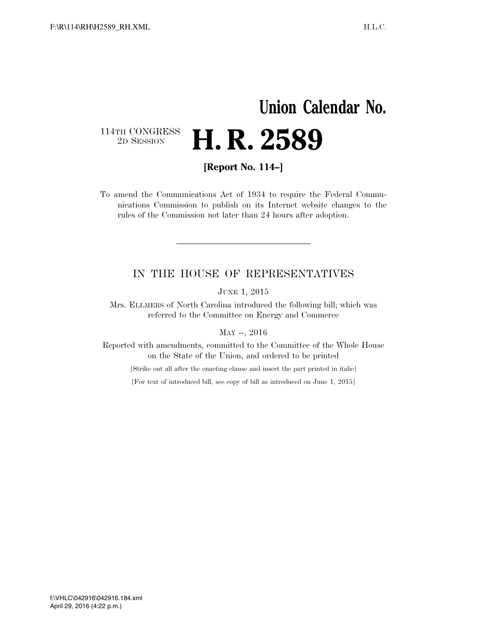## **Union Calendar No.**  114TH CONGRESS<br>2D SESSION H. R. 2589

**[Report No. 114–]** 

To amend the Communications Act of 1934 to require the Federal Communications Commission to publish on its Internet website changes to the rules of the Commission not later than 24 hours after adoption.

## IN THE HOUSE OF REPRESENTATIVES

JUNE 1, 2015

Mrs. ELLMERS of North Carolina introduced the following bill; which was referred to the Committee on Energy and Commerce

MAY --, 2016

Reported with amendments, committed to the Committee of the Whole House on the State of the Union, and ordered to be printed

[Strike out all after the enacting clause and insert the part printed in italic]

[For text of introduced bill, see copy of bill as introduced on June 1, 2015]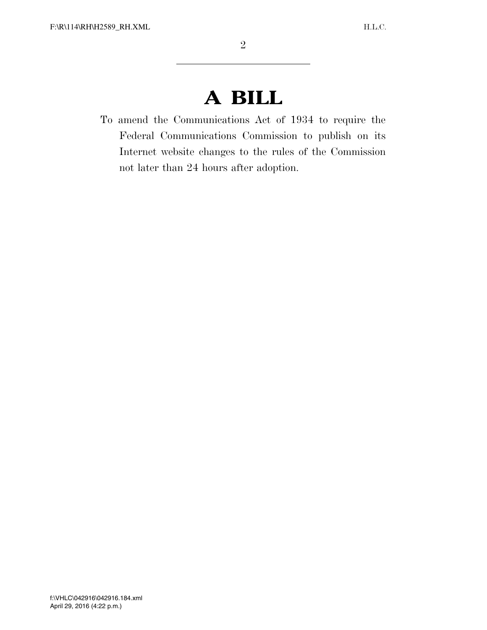## **A BILL**

To amend the Communications Act of 1934 to require the Federal Communications Commission to publish on its Internet website changes to the rules of the Commission not later than 24 hours after adoption.